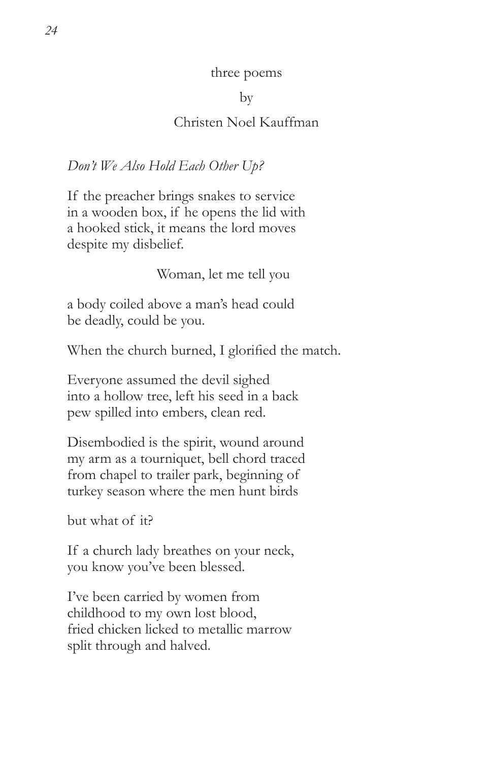#### three poems

### by

# Christen Noel Kauffman

# *Don't We Also Hold Each Other Up?*

If the preacher brings snakes to service in a wooden box, if he opens the lid with a hooked stick, it means the lord moves despite my disbelief.

Woman, let me tell you

a body coiled above a man's head could be deadly, could be you.

When the church burned, I glorified the match.

Everyone assumed the devil sighed into a hollow tree, left his seed in a back pew spilled into embers, clean red.

Disembodied is the spirit, wound around my arm as a tourniquet, bell chord traced from chapel to trailer park, beginning of turkey season where the men hunt birds

but what of it?

If a church lady breathes on your neck, you know you've been blessed.

I've been carried by women from childhood to my own lost blood, fried chicken licked to metallic marrow split through and halved.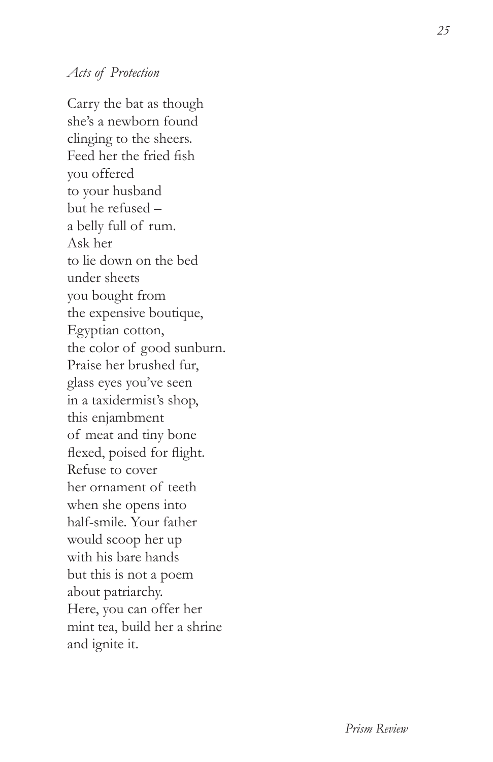## *Acts of Protection*

Carry the bat as though she's a newborn found clinging to the sheers. Feed her the fried fish you offered to your husband but he refused – a belly full of rum. Ask her to lie down on the bed under sheets you bought from the expensive boutique, Egyptian cotton, the color of good sunburn. Praise her brushed fur, glass eyes you've seen in a taxidermist's shop, this enjambment of meat and tiny bone flexed, poised for flight. Refuse to cover her ornament of teeth when she opens into half-smile. Your father would scoop her up with his bare hands but this is not a poem about patriarchy. Here, you can offer her mint tea, build her a shrine and ignite it.